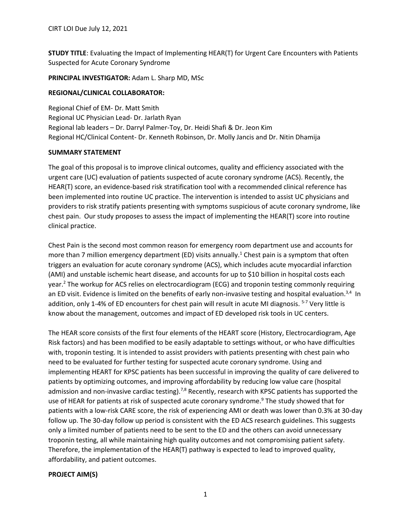**STUDY TITLE**: Evaluating the Impact of Implementing HEAR(T) for Urgent Care Encounters with Patients Suspected for Acute Coronary Syndrome

**PRINCIPAL INVESTIGATOR:** Adam L. Sharp MD, MSc

## **REGIONAL/CLINICAL COLLABORATOR:**

Regional Chief of EM- Dr. Matt Smith Regional UC Physician Lead- Dr. Jarlath Ryan Regional lab leaders – Dr. Darryl Palmer-Toy, Dr. Heidi Shafi & Dr. Jeon Kim Regional HC/Clinical Content- Dr. Kenneth Robinson, Dr. Molly Jancis and Dr. Nitin Dhamija

## **SUMMARY STATEMENT**

The goal of this proposal is to improve clinical outcomes, quality and efficiency associated with the urgent care (UC) evaluation of patients suspected of acute coronary syndrome (ACS). Recently, the HEAR(T) score, an evidence-based risk stratification tool with a recommended clinical reference has been implemented into routine UC practice. The intervention is intended to assist UC physicians and providers to risk stratify patients presenting with symptoms suspicious of acute coronary syndrome, like chest pain. Our study proposes to assess the impact of implementing the HEAR(T) score into routine clinical practice.

Chest Pain is the second most common reason for emergency room department use and accounts for more than 7 million emergency department (ED) visits annually.<sup>1</sup> Chest pain is a symptom that often triggers an evaluation for acute coronary syndrome (ACS), which includes acute myocardial infarction (AMI) and unstable ischemic heart disease, and accounts for up to \$10 billion in hospital costs each year.<sup>2</sup> The workup for ACS relies on electrocardiogram (ECG) and troponin testing commonly requiring an ED visit. Evidence is limited on the benefits of early non-invasive testing and hospital evaluation.<sup>3,4</sup> In addition, only 1-4% of ED encounters for chest pain will result in acute MI diagnosis. <sup>5-7</sup> Very little is know about the management, outcomes and impact of ED developed risk tools in UC centers.

The HEAR score consists of the first four elements of the HEART score (History, Electrocardiogram, Age Risk factors) and has been modified to be easily adaptable to settings without, or who have difficulties with, troponin testing. It is intended to assist providers with patients presenting with chest pain who need to be evaluated for further testing for suspected acute coronary syndrome. Using and implementing HEART for KPSC patients has been successful in improving the quality of care delivered to patients by optimizing outcomes, and improving affordability by reducing low value care (hospital admission and non-invasive cardiac testing).<sup>7,8</sup> Recently, research with KPSC patients has supported the use of HEAR for patients at risk of suspected acute coronary syndrome.<sup>9</sup> The study showed that for patients with a low-risk CARE score, the risk of experiencing AMI or death was lower than 0.3% at 30-day follow up. The 30-day follow up period is consistent with the ED ACS research guidelines. This suggests only a limited number of patients need to be sent to the ED and the others can avoid unnecessary troponin testing, all while maintaining high quality outcomes and not compromising patient safety. Therefore, the implementation of the HEAR(T) pathway is expected to lead to improved quality, affordability, and patient outcomes.

## **PROJECT AIM(S)**